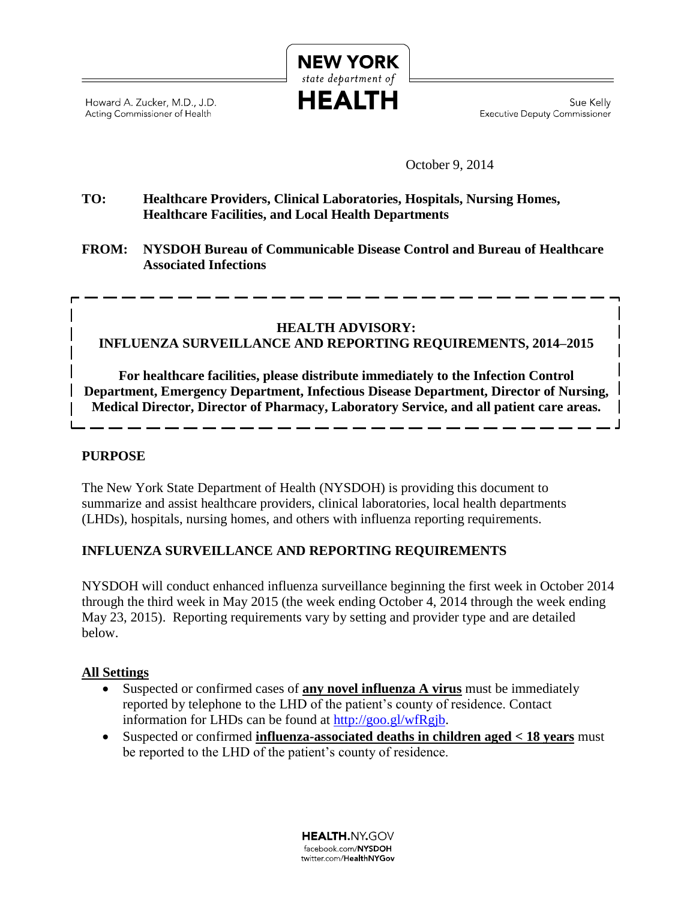Howard A. Zucker, M.D., J.D. Acting Commissioner of Health

Sue Kelly Executive Deputy Commissioner

October 9, 2014

#### **TO: Healthcare Providers, Clinical Laboratories, Hospitals, Nursing Homes, Healthcare Facilities, and Local Health Departments**

**FROM: NYSDOH Bureau of Communicable Disease Control and Bureau of Healthcare Associated Infections**

**NEW YORK** state department of **HEALTH** 

## **HEALTH ADVISORY: INFLUENZA SURVEILLANCE AND REPORTING REQUIREMENTS, 2014–2015**

**For healthcare facilities, please distribute immediately to the Infection Control Department, Emergency Department, Infectious Disease Department, Director of Nursing, Medical Director, Director of Pharmacy, Laboratory Service, and all patient care areas.**

### **PURPOSE**

The New York State Department of Health (NYSDOH) is providing this document to summarize and assist healthcare providers, clinical laboratories, local health departments (LHDs), hospitals, nursing homes, and others with influenza reporting requirements.

#### **INFLUENZA SURVEILLANCE AND REPORTING REQUIREMENTS**

NYSDOH will conduct enhanced influenza surveillance beginning the first week in October 2014 through the third week in May 2015 (the week ending October 4, 2014 through the week ending May 23, 2015). Reporting requirements vary by setting and provider type and are detailed below.

#### **All Settings**

- Suspected or confirmed cases of **any novel influenza A virus** must be immediately reported by telephone to the LHD of the patient's county of residence. Contact information for LHDs can be found at [http://goo.gl/wfRgjb.](http://goo.gl/wfRgjb)
- Suspected or confirmed **influenza-associated deaths in children aged < 18 years** must be reported to the LHD of the patient's county of residence.

**HEALTH.NY.GOV** facebook.com/NYSDOH twitter.com/HealthNYGov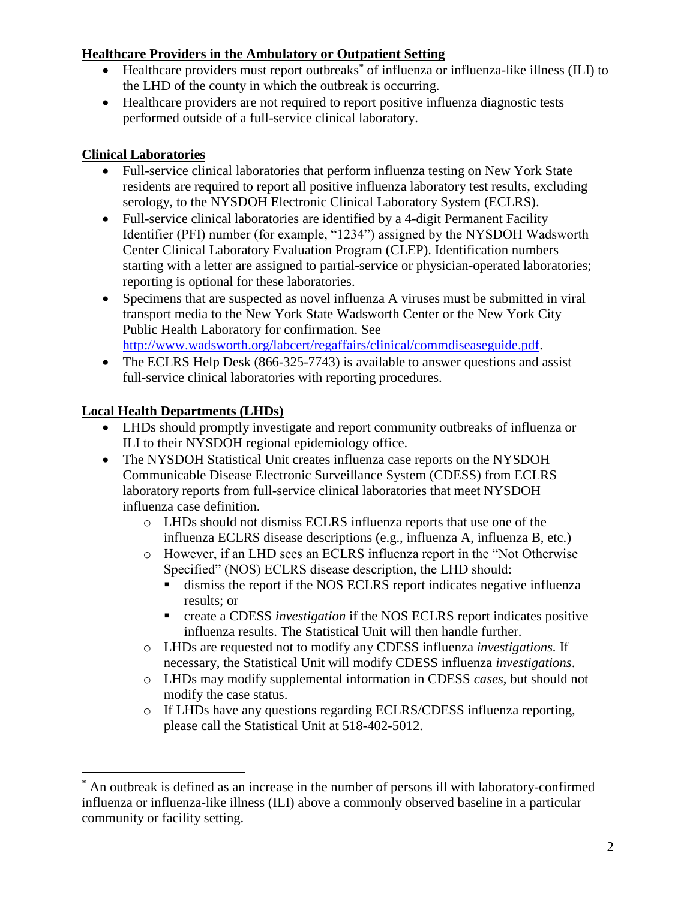## **Healthcare Providers in the Ambulatory or Outpatient Setting**

- Healthcare providers must report outbreaks<sup>\*</sup> of influenza or influenza-like illness (ILI) to the LHD of the county in which the outbreak is occurring.
- Healthcare providers are not required to report positive influenza diagnostic tests performed outside of a full-service clinical laboratory.

## **Clinical Laboratories**

- Full-service clinical laboratories that perform influenza testing on New York State residents are required to report all positive influenza laboratory test results, excluding serology, to the NYSDOH Electronic Clinical Laboratory System (ECLRS).
- Full-service clinical laboratories are identified by a 4-digit Permanent Facility Identifier (PFI) number (for example, "1234") assigned by the NYSDOH Wadsworth Center Clinical Laboratory Evaluation Program (CLEP). Identification numbers starting with a letter are assigned to partial-service or physician-operated laboratories; reporting is optional for these laboratories.
- Specimens that are suspected as novel influenza A viruses must be submitted in viral transport media to the New York State Wadsworth Center or the New York City Public Health Laboratory for confirmation. See [http://www.wadsworth.org/labcert/regaffairs/clinical/commdiseaseguide.pdf.](http://www.wadsworth.org/labcert/regaffairs/clinical/commdiseaseguide.pdf)
- The ECLRS Help Desk (866-325-7743) is available to answer questions and assist full-service clinical laboratories with reporting procedures.

# **Local Health Departments (LHDs)**

 $\overline{a}$ 

- LHDs should promptly investigate and report community outbreaks of influenza or ILI to their NYSDOH regional epidemiology office.
- The NYSDOH Statistical Unit creates influenza case reports on the NYSDOH Communicable Disease Electronic Surveillance System (CDESS) from ECLRS laboratory reports from full-service clinical laboratories that meet NYSDOH influenza case definition.
	- o LHDs should not dismiss ECLRS influenza reports that use one of the influenza ECLRS disease descriptions (e.g., influenza A, influenza B, etc.)
	- o However, if an LHD sees an ECLRS influenza report in the "Not Otherwise Specified" (NOS) ECLRS disease description, the LHD should:
		- dismiss the report if the NOS ECLRS report indicates negative influenza results; or
		- create a CDESS *investigation* if the NOS ECLRS report indicates positive influenza results. The Statistical Unit will then handle further.
	- o LHDs are requested not to modify any CDESS influenza *investigations.* If necessary, the Statistical Unit will modify CDESS influenza *investigations*.
	- o LHDs may modify supplemental information in CDESS *cases*, but should not modify the case status.
	- o If LHDs have any questions regarding ECLRS/CDESS influenza reporting, please call the Statistical Unit at 518-402-5012.

An outbreak is defined as an increase in the number of persons ill with laboratory-confirmed influenza or influenza-like illness (ILI) above a commonly observed baseline in a particular community or facility setting.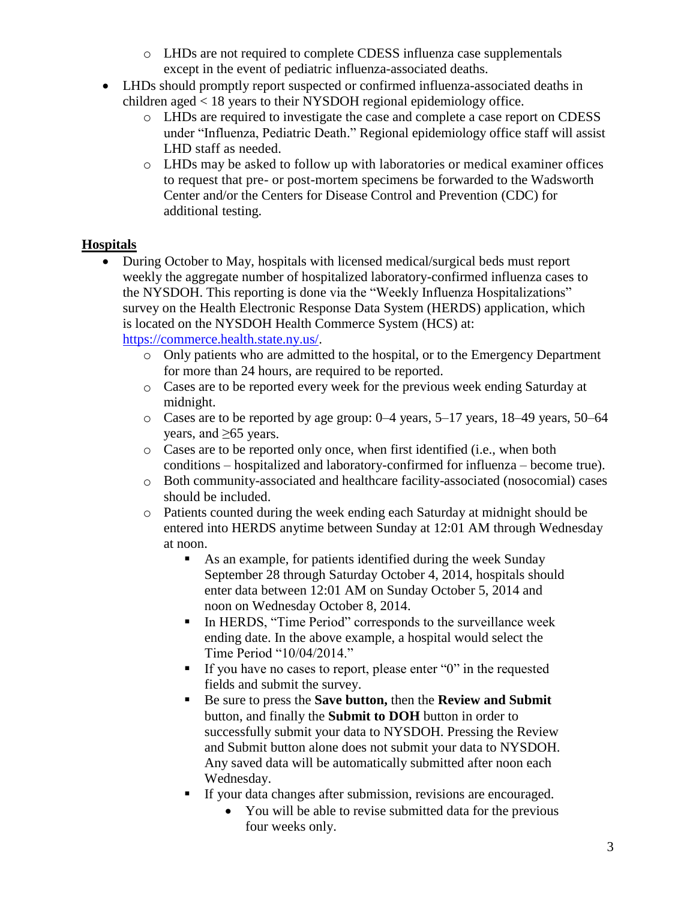- o LHDs are not required to complete CDESS influenza case supplementals except in the event of pediatric influenza-associated deaths.
- LHDs should promptly report suspected or confirmed influenza-associated deaths in children aged < 18 years to their NYSDOH regional epidemiology office.
	- o LHDs are required to investigate the case and complete a case report on CDESS under "Influenza, Pediatric Death." Regional epidemiology office staff will assist LHD staff as needed.
	- o LHDs may be asked to follow up with laboratories or medical examiner offices to request that pre- or post-mortem specimens be forwarded to the Wadsworth Center and/or the Centers for Disease Control and Prevention (CDC) for additional testing.

## **Hospitals**

- During October to May, hospitals with licensed medical/surgical beds must report weekly the aggregate number of hospitalized laboratory-confirmed influenza cases to the NYSDOH. This reporting is done via the "Weekly Influenza Hospitalizations" survey on the Health Electronic Response Data System (HERDS) application, which is located on the NYSDOH Health Commerce System (HCS) at: [https://commerce.health.state.ny.us/.](https://commerce.health.state.ny.us/)
	- o Only patients who are admitted to the hospital, or to the Emergency Department for more than 24 hours, are required to be reported.
	- o Cases are to be reported every week for the previous week ending Saturday at midnight.
	- o Cases are to be reported by age group: 0–4 years, 5–17 years, 18–49 years, 50–64 years, and ≥65 years.
	- o Cases are to be reported only once, when first identified (i.e., when both conditions – hospitalized and laboratory-confirmed for influenza – become true).
	- o Both community-associated and healthcare facility-associated (nosocomial) cases should be included.
	- o Patients counted during the week ending each Saturday at midnight should be entered into HERDS anytime between Sunday at 12:01 AM through Wednesday at noon.
		- As an example, for patients identified during the week Sunday September 28 through Saturday October 4, 2014, hospitals should enter data between 12:01 AM on Sunday October 5, 2014 and noon on Wednesday October 8, 2014.
		- In HERDS, "Time Period" corresponds to the surveillance week ending date. In the above example, a hospital would select the Time Period "10/04/2014."
		- If you have no cases to report, please enter " $0$ " in the requested fields and submit the survey.
		- Be sure to press the **Save button,** then the **Review and Submit** button, and finally the **Submit to DOH** button in order to successfully submit your data to NYSDOH. Pressing the Review and Submit button alone does not submit your data to NYSDOH. Any saved data will be automatically submitted after noon each Wednesday.
		- If your data changes after submission, revisions are encouraged.
			- You will be able to revise submitted data for the previous four weeks only.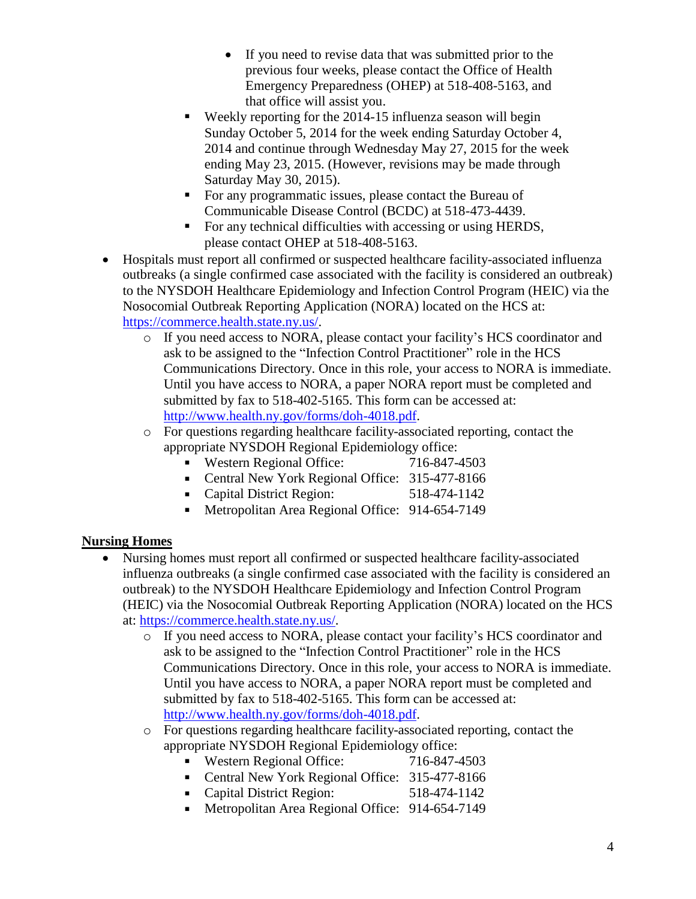- If you need to revise data that was submitted prior to the previous four weeks, please contact the Office of Health Emergency Preparedness (OHEP) at 518-408-5163, and that office will assist you.
- Weekly reporting for the 2014-15 influenza season will begin Sunday October 5, 2014 for the week ending Saturday October 4, 2014 and continue through Wednesday May 27, 2015 for the week ending May 23, 2015. (However, revisions may be made through Saturday May 30, 2015).
- For any programmatic issues, please contact the Bureau of Communicable Disease Control (BCDC) at 518-473-4439.
- For any technical difficulties with accessing or using HERDS, please contact OHEP at 518-408-5163.
- Hospitals must report all confirmed or suspected healthcare facility-associated influenza outbreaks (a single confirmed case associated with the facility is considered an outbreak) to the NYSDOH Healthcare Epidemiology and Infection Control Program (HEIC) via the Nosocomial Outbreak Reporting Application (NORA) located on the HCS at: [https://commerce.health.state.ny.us/.](https://commerce.health.state.ny.us/)
	- o If you need access to NORA, please contact your facility's HCS coordinator and ask to be assigned to the "Infection Control Practitioner" role in the HCS Communications Directory. Once in this role, your access to NORA is immediate. Until you have access to NORA, a paper NORA report must be completed and submitted by fax to 518-402-5165. This form can be accessed at: [http://www.health.ny.gov/forms/doh-4018.pdf.](http://www.health.ny.gov/forms/doh-4018.pdf)
	- o For questions regarding healthcare facility-associated reporting, contact the appropriate NYSDOH Regional Epidemiology office:
		- Western Regional Office: 716-847-4503
		- Central New York Regional Office: 315-477-8166
		- Capital District Region: 518-474-1142
		- Metropolitan Area Regional Office: 914-654-7149

# **Nursing Homes**

- Nursing homes must report all confirmed or suspected healthcare facility-associated influenza outbreaks (a single confirmed case associated with the facility is considered an outbreak) to the NYSDOH Healthcare Epidemiology and Infection Control Program (HEIC) via the Nosocomial Outbreak Reporting Application (NORA) located on the HCS at: [https://commerce.health.state.ny.us/.](https://commerce.health.state.ny.us/)
	- o If you need access to NORA, please contact your facility's HCS coordinator and ask to be assigned to the "Infection Control Practitioner" role in the HCS Communications Directory. Once in this role, your access to NORA is immediate. Until you have access to NORA, a paper NORA report must be completed and submitted by fax to 518-402-5165. This form can be accessed at: [http://www.health.ny.gov/forms/doh-4018.pdf.](http://www.health.ny.gov/forms/doh-4018.pdf)
	- o For questions regarding healthcare facility-associated reporting, contact the appropriate NYSDOH Regional Epidemiology office:
		- Western Regional Office: 716-847-4503
		- Central New York Regional Office: 315-477-8166
		- Capital District Region: 518-474-1142
		- Metropolitan Area Regional Office: 914-654-7149